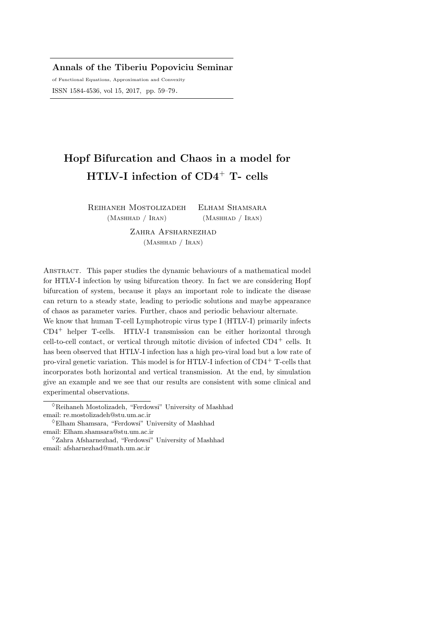Annals of the Tiberiu Popoviciu Seminar

of Functional Equations, Approximation and Convexity ISSN 1584-4536, vol 15, 2017, pp. 59–79.

# Hopf Bifurcation and Chaos in a model for HTLV-I infection of CD4<sup>+</sup> T- cells

Reihaneh Mostolizadeh (Mashhad / Iran) Elham Shamsara (Mashhad / Iran)

> ZAHRA AFSHARNEZHAD (Mashhad / Iran)

Abstract. This paper studies the dynamic behaviours of a mathematical model for HTLV-I infection by using bifurcation theory. In fact we are considering Hopf bifurcation of system, because it plays an important role to indicate the disease can return to a steady state, leading to periodic solutions and maybe appearance of chaos as parameter varies. Further, chaos and periodic behaviour alternate.

We know that human T-cell Lymphotropic virus type I (HTLV-I) primarily infects CD4<sup>+</sup> helper T-cells. HTLV-I transmission can be either horizontal through cell-to-cell contact, or vertical through mitotic division of infected  $CD4^+$  cells. It has been observed that HTLV-I infection has a high pro-viral load but a low rate of pro-viral genetic variation. This model is for HTLV-I infection of CD4<sup>+</sup> T-cells that incorporates both horizontal and vertical transmission. At the end, by simulation give an example and we see that our results are consistent with some clinical and experimental observations.

 $\Diamond$ Reihaneh Mostolizadeh, "Ferdowsi" University of Mashhad email: re.mostolizadeh@stu.um.ac.ir

 $\Diamond$ Elham Shamsara, "Ferdowsi" University of Mashhad email: Elham.shamsara@stu.um.ac.ir

 $^{\lozenge}$ Zahra Afsharnezhad, "Ferdowsi" University of Mashhad email: afsharnezhad@math.um.ac.ir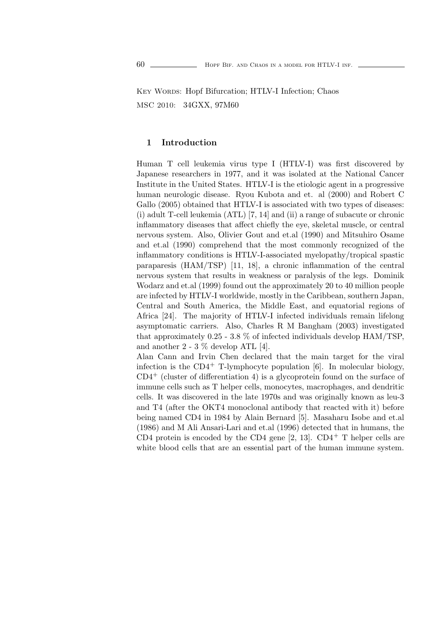KEY WORDS: Hopf Bifurcation; HTLV-I Infection; Chaos MSC 2010: 34GXX, 97M60

## 1 Introduction

Human T cell leukemia virus type I (HTLV-I) was first discovered by Japanese researchers in 1977, and it was isolated at the National Cancer Institute in the United States. HTLV-I is the etiologic agent in a progressive human neurologic disease. Ryou Kubota and et. al (2000) and Robert C Gallo (2005) obtained that HTLV-I is associated with two types of diseases: (i) adult T-cell leukemia (ATL) [7, 14] and (ii) a range of subacute or chronic inflammatory diseases that affect chiefly the eye, skeletal muscle, or central nervous system. Also, Olivier Gout and et.al (1990) and Mitsuhiro Osame and et.al (1990) comprehend that the most commonly recognized of the inflammatory conditions is HTLV-I-associated myelopathy/tropical spastic paraparesis (HAM/TSP) [11, 18], a chronic inflammation of the central nervous system that results in weakness or paralysis of the legs. Dominik Wodarz and et.al (1999) found out the approximately 20 to 40 million people are infected by HTLV-I worldwide, mostly in the Caribbean, southern Japan, Central and South America, the Middle East, and equatorial regions of Africa [24]. The majority of HTLV-I infected individuals remain lifelong asymptomatic carriers. Also, Charles R M Bangham (2003) investigated that approximately 0.25 - 3.8 % of infected individuals develop HAM/TSP, and another  $2 - 3$  % develop ATL [4].

Alan Cann and Irvin Chen declared that the main target for the viral infection is the  $CD4^+$  T-lymphocyte population [6]. In molecular biology,  $CD4^+$  (cluster of differentiation 4) is a glycoprotein found on the surface of immune cells such as T helper cells, monocytes, macrophages, and dendritic cells. It was discovered in the late 1970s and was originally known as leu-3 and T4 (after the OKT4 monoclonal antibody that reacted with it) before being named CD4 in 1984 by Alain Bernard [5]. Masaharu Isobe and et.al (1986) and M Ali Ansari-Lari and et.al (1996) detected that in humans, the CD4 protein is encoded by the CD4 gene  $[2, 13]$ . CD4<sup>+</sup> T helper cells are white blood cells that are an essential part of the human immune system.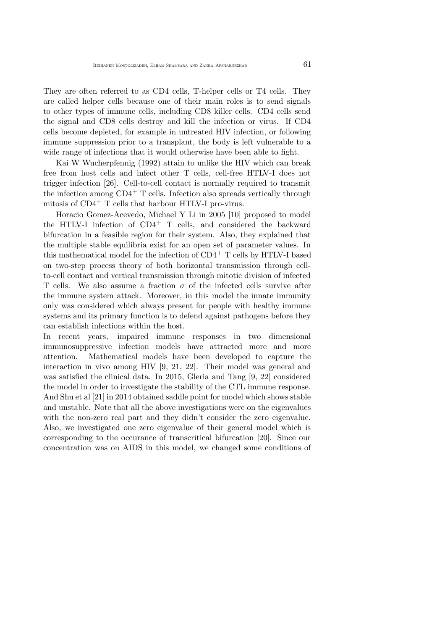They are often referred to as CD4 cells, T-helper cells or T4 cells. They are called helper cells because one of their main roles is to send signals to other types of immune cells, including CD8 killer cells. CD4 cells send the signal and CD8 cells destroy and kill the infection or virus. If CD4 cells become depleted, for example in untreated HIV infection, or following immune suppression prior to a transplant, the body is left vulnerable to a wide range of infections that it would otherwise have been able to fight.

Kai W Wucherpfennig (1992) attain to unlike the HIV which can break free from host cells and infect other T cells, cell-free HTLV-I does not trigger infection [26]. Cell-to-cell contact is normally required to transmit the infection among  $CD4^+$  T cells. Infection also spreads vertically through mitosis of CD4<sup>+</sup> T cells that harbour HTLV-I pro-virus.

Horacio Gomez-Acevedo, Michael Y Li in 2005 [10] proposed to model the HTLV-I infection of  $CD4^+$  T cells, and considered the backward bifurcation in a feasible region for their system. Also, they explained that the multiple stable equilibria exist for an open set of parameter values. In this mathematical model for the infection of  $CD4^+$  T cells by HTLV-I based on two-step process theory of both horizontal transmission through cellto-cell contact and vertical transmission through mitotic division of infected T cells. We also assume a fraction  $\sigma$  of the infected cells survive after the immune system attack. Moreover, in this model the innate immunity only was considered which always present for people with healthy immune systems and its primary function is to defend against pathogens before they can establish infections within the host.

In recent years, impaired immune responses in two dimensional immunosuppressive infection models have attracted more and more attention. Mathematical models have been developed to capture the interaction in vivo among HIV [9, 21, 22]. Their model was general and was satisfied the clinical data. In 2015, Gleria and Tang [9, 22] considered the model in order to investigate the stability of the CTL immune response. And Shu et al [21] in 2014 obtained saddle point for model which shows stable and unstable. Note that all the above investigations were on the eigenvalues with the non-zero real part and they didn't consider the zero eigenvalue. Also, we investigated one zero eigenvalue of their general model which is corresponding to the occurance of transcritical bifurcation [20]. Since our concentration was on AIDS in this model, we changed some conditions of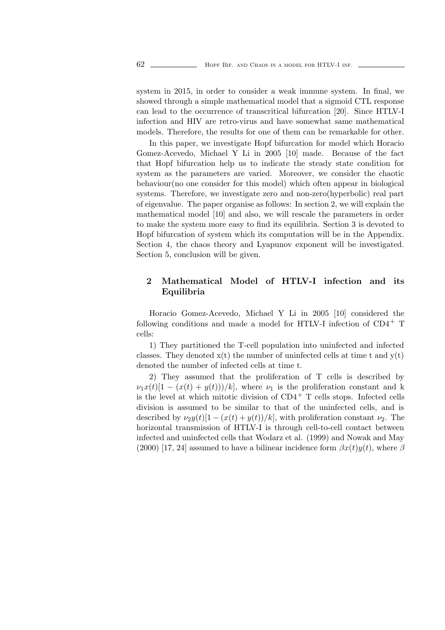system in 2015, in order to consider a weak immune system. In final, we showed through a simple mathematical model that a sigmoid CTL response can lead to the occurrence of transcritical bifurcation [20]. Since HTLV-I infection and HIV are retro-virus and have somewhat same mathematical models. Therefore, the results for one of them can be remarkable for other.

In this paper, we investigate Hopf bifurcation for model which Horacio Gomez-Acevedo, Michael Y Li in 2005 [10] made. Because of the fact that Hopf bifurcation help us to indicate the steady state condition for system as the parameters are varied. Moreover, we consider the chaotic behaviour(no one consider for this model) which often appear in biological systems. Therefore, we investigate zero and non-zero(hyperbolic) real part of eigenvalue. The paper organise as follows: In section 2, we will explain the mathematical model [10] and also, we will rescale the parameters in order to make the system more easy to find its equilibria. Section 3 is devoted to Hopf bifurcation of system which its computation will be in the Appendix. Section 4, the chaos theory and Lyapunov exponent will be investigated. Section 5, conclusion will be given.

## 2 Mathematical Model of HTLV-I infection and its Equilibria

Horacio Gomez-Acevedo, Michael Y Li in 2005 [10] considered the following conditions and made a model for HTLV-I infection of  $CD4^+$  T cells:

1) They partitioned the T-cell population into uninfected and infected classes. They denoted  $x(t)$  the number of uninfected cells at time t and  $y(t)$ denoted the number of infected cells at time t.

2) They assumed that the proliferation of T cells is described by  $\nu_1x(t)[1-(x(t)+y(t)))/k]$ , where  $\nu_1$  is the proliferation constant and k is the level at which mitotic division of  $CD4^+$  T cells stops. Infected cells division is assumed to be similar to that of the uninfected cells, and is described by  $\nu_2 y(t)[1-(x(t)+y(t))/k]$ , with proliferation constant  $\nu_2$ . The horizontal transmission of HTLV-I is through cell-to-cell contact between infected and uninfected cells that Wodarz et al. (1999) and Nowak and May (2000) [17, 24] assumed to have a bilinear incidence form  $\beta x(t)y(t)$ , where  $\beta$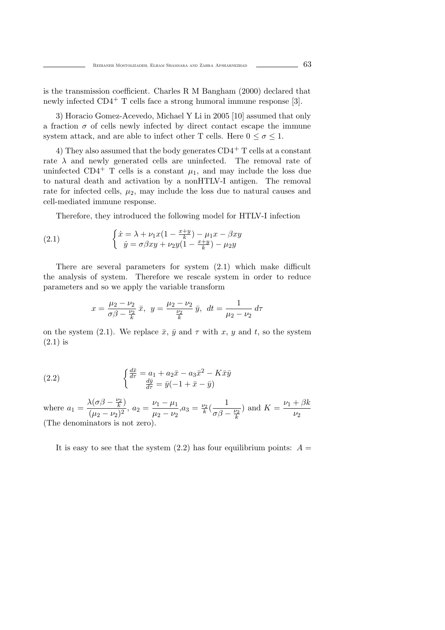is the transmission coefficient. Charles R M Bangham (2000) declared that newly infected  $CD4^+$  T cells face a strong humoral immune response [3].

3) Horacio Gomez-Acevedo, Michael Y Li in 2005 [10] assumed that only a fraction  $\sigma$  of cells newly infected by direct contact escape the immune system attack, and are able to infect other T cells. Here  $0 \le \sigma \le 1$ .

4) They also assumed that the body generates  $CD4^+$  T cells at a constant rate  $\lambda$  and newly generated cells are uninfected. The removal rate of uninfected CD4<sup>+</sup> T cells is a constant  $\mu_1$ , and may include the loss due to natural death and activation by a nonHTLV-I antigen. The removal rate for infected cells,  $\mu_2$ , may include the loss due to natural causes and cell-mediated immune response.

Therefore, they introduced the following model for HTLV-I infection

(2.1) 
$$
\begin{cases} \dot{x} = \lambda + \nu_1 x (1 - \frac{x+y}{k}) - \mu_1 x - \beta x y \\ \dot{y} = \sigma \beta x y + \nu_2 y (1 - \frac{x+y}{k}) - \mu_2 y \end{cases}
$$

There are several parameters for system (2.1) which make difficult the analysis of system. Therefore we rescale system in order to reduce parameters and so we apply the variable transform

$$
x = \frac{\mu_2 - \nu_2}{\sigma \beta - \frac{\nu_2}{k}} \bar{x}, \ y = \frac{\mu_2 - \nu_2}{\frac{\nu_2}{k}} \bar{y}, \ dt = \frac{1}{\mu_2 - \nu_2} d\tau
$$

on the system (2.1). We replace  $\bar{x}$ ,  $\bar{y}$  and  $\tau$  with x, y and t, so the system (2.1) is

(2.2) 
$$
\begin{cases} \frac{d\bar{x}}{d\tau} = a_1 + a_2 \bar{x} - a_3 \bar{x}^2 - K \bar{x} \bar{y} \\ \frac{d\bar{y}}{d\tau} = \bar{y}(-1 + \bar{x} - \bar{y}) \end{cases}
$$

where  $a_1 = \frac{\lambda(\sigma\beta - \frac{\nu_2}{k})}{(\mu_2 - \nu_2)^2}$ ,  $a_2 = \frac{\nu_1 - \mu_1}{\mu_2 - \nu_2}$  $a_3 = \frac{\nu_2}{k} \left( \frac{1}{\sigma \beta - \frac{\nu_2}{k}} \right)$ ) and  $K = \frac{\nu_1 + \beta k_1}{\sigma}$  $\nu_2$ (The denominators is not zero).

It is easy to see that the system  $(2.2)$  has four equilibrium points:  $A =$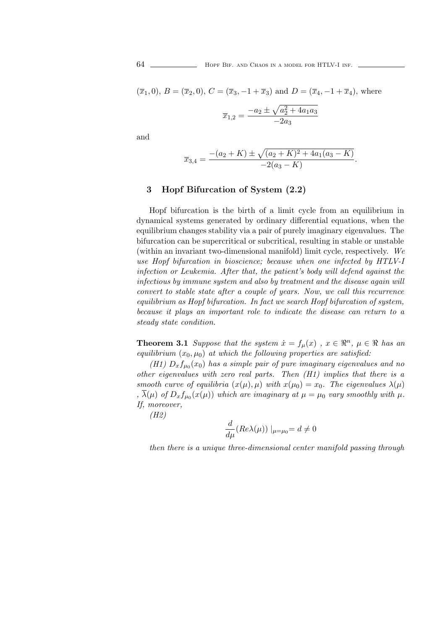64 **HOPF BIF.** AND CHAOS IN A MODEL FOR HTLV-I INF.

 $(\bar{x}_1, 0), B = (\bar{x}_2, 0), C = (\bar{x}_3, -1 + \bar{x}_3)$  and  $D = (\bar{x}_4, -1 + \bar{x}_4)$ , where

$$
\overline{x}_{1,2} = \frac{-a_2 \pm \sqrt{a_2^2 + 4a_1 a_3}}{-2a_3}
$$

and

$$
\overline{x}_{3,4} = \frac{-(a_2 + K) \pm \sqrt{(a_2 + K)^2 + 4a_1(a_3 - K)}}{-2(a_3 - K)}.
$$

## 3 Hopf Bifurcation of System (2.2)

Hopf bifurcation is the birth of a limit cycle from an equilibrium in dynamical systems generated by ordinary differential equations, when the equilibrium changes stability via a pair of purely imaginary eigenvalues. The bifurcation can be supercritical or subcritical, resulting in stable or unstable (within an invariant two-dimensional manifold) limit cycle, respectively. We use Hopf bifurcation in bioscience; because when one infected by HTLV-I infection or Leukemia. After that, the patient's body will defend against the infectious by immune system and also by treatment and the disease again will convert to stable state after a couple of years. Now, we call this recurrence equilibrium as Hopf bifurcation. In fact we search Hopf bifurcation of system, because it plays an important role to indicate the disease can return to a steady state condition.

**Theorem 3.1** Suppose that the system  $\dot{x} = f_{\mu}(x)$ ,  $x \in \mathbb{R}^n$ ,  $\mu \in \mathbb{R}$  has an equilibrium  $(x_0, \mu_0)$  at which the following properties are satisfied:

(H1)  $D_x f_{\mu_0}(x_0)$  has a simple pair of pure imaginary eigenvalues and no other eigenvalues with zero real parts. Then (H1) implies that there is a smooth curve of equilibria  $(x(\mu), \mu)$  with  $x(\mu_0) = x_0$ . The eigenvalues  $\lambda(\mu)$ ,  $\lambda(\mu)$  of  $D_x f_{\mu_0}(x(\mu))$  which are imaginary at  $\mu = \mu_0$  vary smoothly with  $\mu$ . If, moreover,

(H2)

$$
\frac{d}{d\mu}(Re\lambda(\mu))\mid_{\mu=\mu_0}=d\neq 0
$$

then there is a unique three-dimensional center manifold passing through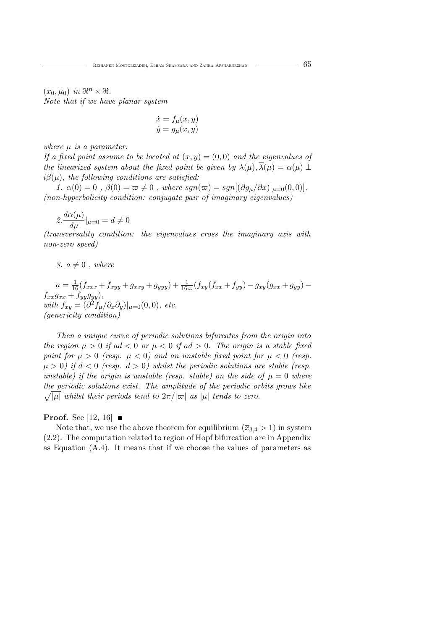$(x_0, \mu_0)$  in  $\mathbb{R}^n \times \mathbb{R}$ . Note that if we have planar system

$$
\dot{x} = f_{\mu}(x, y)
$$
  

$$
\dot{y} = g_{\mu}(x, y)
$$

where  $\mu$  is a parameter.

If a fixed point assume to be located at  $(x, y) = (0, 0)$  and the eigenvalues of the linearized system about the fixed point be given by  $\lambda(\mu), \overline{\lambda}(\mu) = \alpha(\mu) \pm \overline{\lambda}(\mu)$  $i\beta(\mu)$ , the following conditions are satisfied:

1.  $\alpha(0) = 0$ ,  $\beta(0) = \varpi \neq 0$ , where  $sgn(\varpi) = sgn[(\partial g_{\mu}/\partial x)]_{\mu=0}(0,0)].$ (non-hyperbolicity condition: conjugate pair of imaginary eigenvalues)

$$
2.\frac{d\alpha(\mu)}{d\mu}|_{\mu=0} = d \neq 0
$$

(transversality condition: the eigenvalues cross the imaginary axis with non-zero speed)

3.  $a \neq 0$ , where

 $a = \frac{1}{16}(f_{xxx} + f_{xyy} + g_{xxy} + g_{yyy}) + \frac{1}{16\pi}(f_{xy}(f_{xx} + f_{yy}) - g_{xy}(g_{xx} + g_{yy})$  $f_{xx}g_{xx} + f_{yy}g_{yy}$ ), with  $f_{xy} = (\partial^2 f_\mu / \partial_x \partial_y)|_{\mu=0}(0,0)$ , etc. (genericity condition)

Then a unique curve of periodic solutions bifurcates from the origin into the region  $\mu > 0$  if ad  $< 0$  or  $\mu < 0$  if ad  $> 0$ . The origin is a stable fixed point for  $\mu > 0$  (resp.  $\mu < 0$ ) and an unstable fixed point for  $\mu < 0$  (resp.  $\mu > 0$ ) if  $d < 0$  (resp.  $d > 0$ ) whilst the periodic solutions are stable (resp. unstable) if the origin is unstable (resp. stable) on the side of  $\mu = 0$  where  $\sqrt{|\mu|}$  whilst their periods tend to  $2\pi/|\varpi|$  as  $|\mu|$  tends to zero. the periodic solutions exist. The amplitude of the periodic orbits grows like

#### **Proof.** See [12, 16]  $\blacksquare$

Note that, we use the above theorem for equilibrium  $(\overline{x}_{3,4} > 1)$  in system (2.2). The computation related to region of Hopf bifurcation are in Appendix as Equation (A.4). It means that if we choose the values of parameters as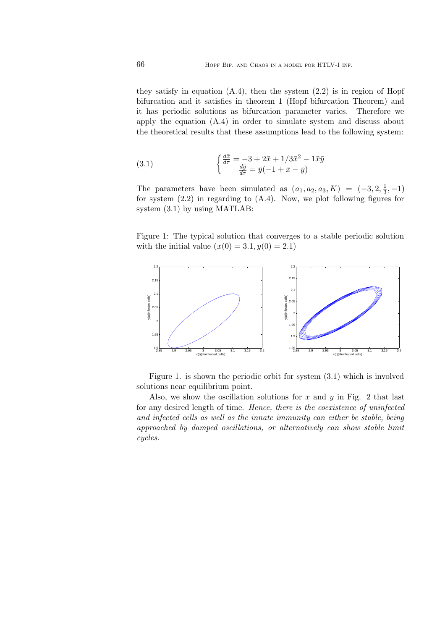they satisfy in equation  $(A.4)$ , then the system  $(2.2)$  is in region of Hopf bifurcation and it satisfies in theorem 1 (Hopf bifurcation Theorem) and it has periodic solutions as bifurcation parameter varies. Therefore we apply the equation (A.4) in order to simulate system and discuss about the theoretical results that these assumptions lead to the following system:

(3.1) 
$$
\begin{cases} \frac{d\bar{x}}{d\tau} = -3 + 2\bar{x} + 1/3\bar{x}^2 - 1\bar{x}\bar{y} \\ \frac{d\bar{y}}{d\tau} = \bar{y}(-1 + \bar{x} - \bar{y}) \end{cases}
$$

The parameters have been simulated as  $(a_1, a_2, a_3, K) = (-3, 2, \frac{1}{3}, -1)$ for system (2.2) in regarding to (A.4). Now, we plot following figures for system (3.1) by using MATLAB:

Figure 1: The typical solution that converges to a stable periodic solution with the initial value  $(x(0) = 3.1, y(0) = 2.1)$ 



Figure 1. is shown the periodic orbit for system (3.1) which is involved solutions near equilibrium point.

Also, we show the oscillation solutions for  $\bar{x}$  and  $\bar{y}$  in Fig. 2 that last for any desired length of time. Hence, there is the coexistence of uninfected and infected cells as well as the innate immunity can either be stable, being approached by damped oscillations, or alternatively can show stable limit cycles.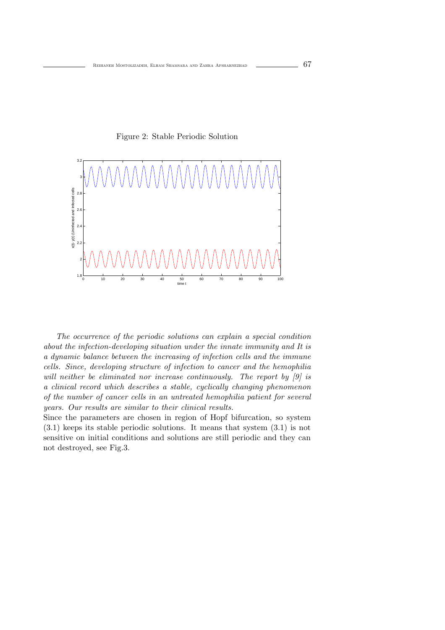Figure 2: Stable Periodic Solution



The occurrence of the periodic solutions can explain a special condition about the infection-developing situation under the innate immunity and It is a dynamic balance between the increasing of infection cells and the immune cells. Since, developing structure of infection to cancer and the hemophilia will neither be eliminated nor increase continuously. The report by [9] is a clinical record which describes a stable, cyclically changing phenomenon of the number of cancer cells in an untreated hemophilia patient for several years. Our results are similar to their clinical results.

Since the parameters are chosen in region of Hopf bifurcation, so system (3.1) keeps its stable periodic solutions. It means that system (3.1) is not sensitive on initial conditions and solutions are still periodic and they can not destroyed, see Fig.3.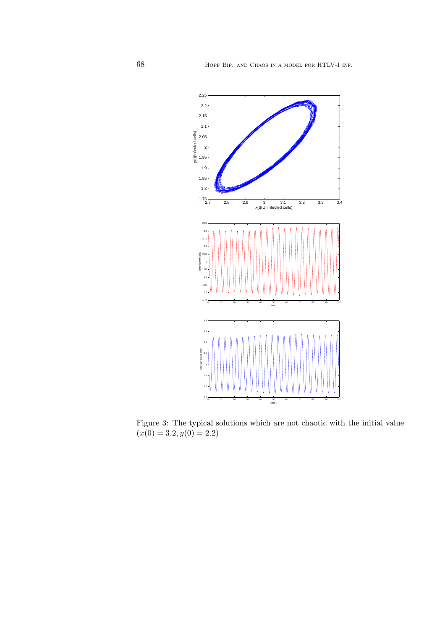

Figure 3: The typical solutions which are not chaotic with the initial value  $(x(0) = 3.2, y(0) = 2.2)$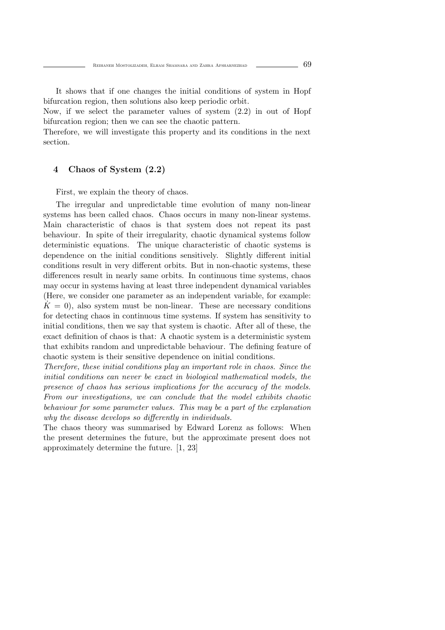It shows that if one changes the initial conditions of system in Hopf bifurcation region, then solutions also keep periodic orbit.

Now, if we select the parameter values of system (2.2) in out of Hopf bifurcation region; then we can see the chaotic pattern.

Therefore, we will investigate this property and its conditions in the next section.

#### 4 Chaos of System (2.2)

First, we explain the theory of chaos.

The irregular and unpredictable time evolution of many non-linear systems has been called chaos. Chaos occurs in many non-linear systems. Main characteristic of chaos is that system does not repeat its past behaviour. In spite of their irregularity, chaotic dynamical systems follow deterministic equations. The unique characteristic of chaotic systems is dependence on the initial conditions sensitively. Slightly different initial conditions result in very different orbits. But in non-chaotic systems, these differences result in nearly same orbits. In continuous time systems, chaos may occur in systems having at least three independent dynamical variables (Here, we consider one parameter as an independent variable, for example:  $\dot{K} = 0$ , also system must be non-linear. These are necessary conditions for detecting chaos in continuous time systems. If system has sensitivity to initial conditions, then we say that system is chaotic. After all of these, the exact definition of chaos is that: A chaotic system is a deterministic system that exhibits random and unpredictable behaviour. The defining feature of chaotic system is their sensitive dependence on initial conditions.

Therefore, these initial conditions play an important role in chaos. Since the initial conditions can never be exact in biological mathematical models, the presence of chaos has serious implications for the accuracy of the models. From our investigations, we can conclude that the model exhibits chaotic behaviour for some parameter values. This may be a part of the explanation why the disease develops so differently in individuals.

The chaos theory was summarised by Edward Lorenz as follows: When the present determines the future, but the approximate present does not approximately determine the future. [1, 23]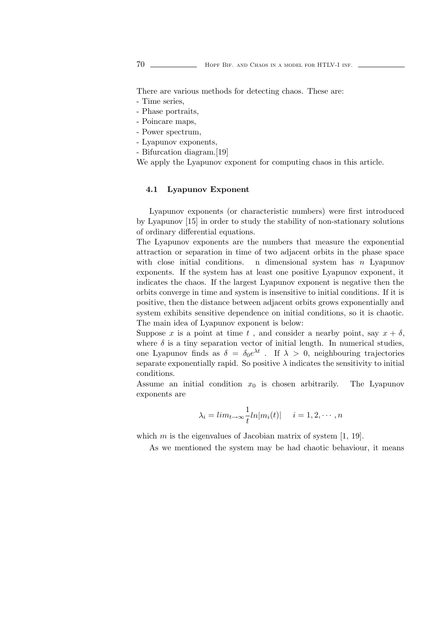There are various methods for detecting chaos. These are:

- Time series,

- Phase portraits,
- Poincare maps,
- Power spectrum,
- Lyapunov exponents,
- Bifurcation diagram.[19]

We apply the Lyapunov exponent for computing chaos in this article.

#### 4.1 Lyapunov Exponent

Lyapunov exponents (or characteristic numbers) were first introduced by Lyapunov [15] in order to study the stability of non-stationary solutions of ordinary differential equations.

The Lyapunov exponents are the numbers that measure the exponential attraction or separation in time of two adjacent orbits in the phase space with close initial conditions. n dimensional system has n Lyapunov exponents. If the system has at least one positive Lyapunov exponent, it indicates the chaos. If the largest Lyapunov exponent is negative then the orbits converge in time and system is insensitive to initial conditions. If it is positive, then the distance between adjacent orbits grows exponentially and system exhibits sensitive dependence on initial conditions, so it is chaotic. The main idea of Lyapunov exponent is below:

Suppose x is a point at time t, and consider a nearby point, say  $x + \delta$ , where  $\delta$  is a tiny separation vector of initial length. In numerical studies, one Lyapunov finds as  $\delta = \delta_0 e^{\lambda t}$ . If  $\lambda > 0$ , neighbouring trajectories separate exponentially rapid. So positive  $\lambda$  indicates the sensitivity to initial conditions.

Assume an initial condition  $x_0$  is chosen arbitrarily. The Lyapunov exponents are

$$
\lambda_i = \lim_{t \to \infty} \frac{1}{t} \ln|m_i(t)| \quad i = 1, 2, \cdots, n
$$

which  $m$  is the eigenvalues of Jacobian matrix of system  $[1, 19]$ .

As we mentioned the system may be had chaotic behaviour, it means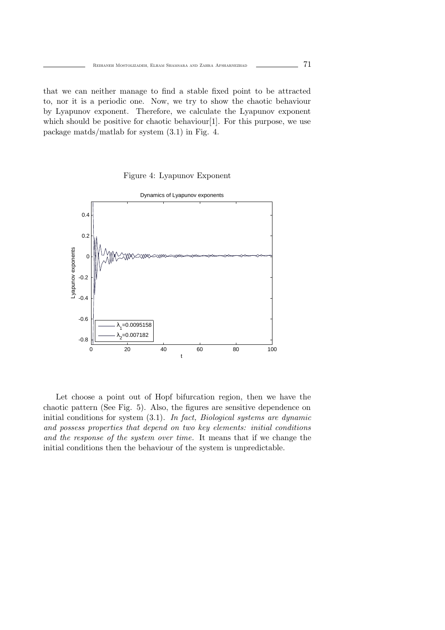that we can neither manage to find a stable fixed point to be attracted to, nor it is a periodic one. Now, we try to show the chaotic behaviour by Lyapunov exponent. Therefore, we calculate the Lyapunov exponent which should be positive for chaotic behaviour [1]. For this purpose, we use package matds/matlab for system (3.1) in Fig. 4.

Figure 4: Lyapunov Exponent



Let choose a point out of Hopf bifurcation region, then we have the chaotic pattern (See Fig. 5). Also, the figures are sensitive dependence on initial conditions for system  $(3.1)$ . In fact, Biological systems are dynamic and possess properties that depend on two key elements: initial conditions and the response of the system over time. It means that if we change the initial conditions then the behaviour of the system is unpredictable.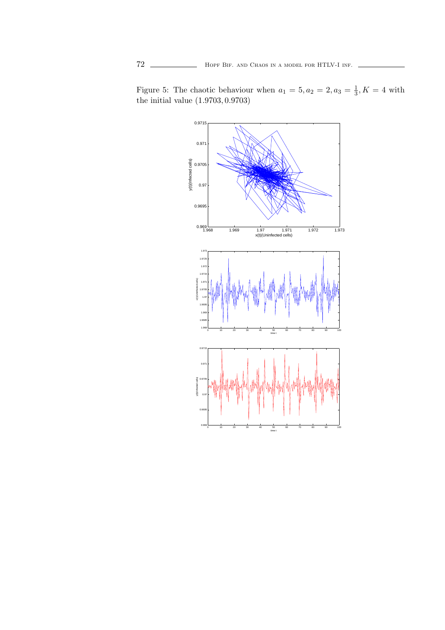

Figure 5: The chaotic behaviour when  $a_1 = 5, a_2 = 2, a_3 = \frac{1}{3}, K = 4$  with the initial value (1.9703, 0.9703)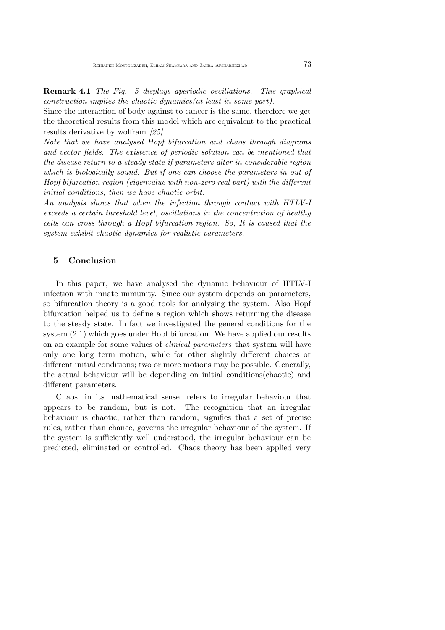Remark 4.1 The Fig. 5 displays aperiodic oscillations. This graphical construction implies the chaotic dynamics(at least in some part).

Since the interaction of body against to cancer is the same, therefore we get the theoretical results from this model which are equivalent to the practical results derivative by wolfram [25].

Note that we have analysed Hopf bifurcation and chaos through diagrams and vector fields. The existence of periodic solution can be mentioned that the disease return to a steady state if parameters alter in considerable region which is biologically sound. But if one can choose the parameters in out of Hopf bifurcation region (eigenvalue with non-zero real part) with the different initial conditions, then we have chaotic orbit.

An analysis shows that when the infection through contact with HTLV-I exceeds a certain threshold level, oscillations in the concentration of healthy cells can cross through a Hopf bifurcation region. So, It is caused that the system exhibit chaotic dynamics for realistic parameters.

### 5 Conclusion

In this paper, we have analysed the dynamic behaviour of HTLV-I infection with innate immunity. Since our system depends on parameters, so bifurcation theory is a good tools for analysing the system. Also Hopf bifurcation helped us to define a region which shows returning the disease to the steady state. In fact we investigated the general conditions for the system (2.1) which goes under Hopf bifurcation. We have applied our results on an example for some values of clinical parameters that system will have only one long term motion, while for other slightly different choices or different initial conditions; two or more motions may be possible. Generally, the actual behaviour will be depending on initial conditions(chaotic) and different parameters.

Chaos, in its mathematical sense, refers to irregular behaviour that appears to be random, but is not. The recognition that an irregular behaviour is chaotic, rather than random, signifies that a set of precise rules, rather than chance, governs the irregular behaviour of the system. If the system is sufficiently well understood, the irregular behaviour can be predicted, eliminated or controlled. Chaos theory has been applied very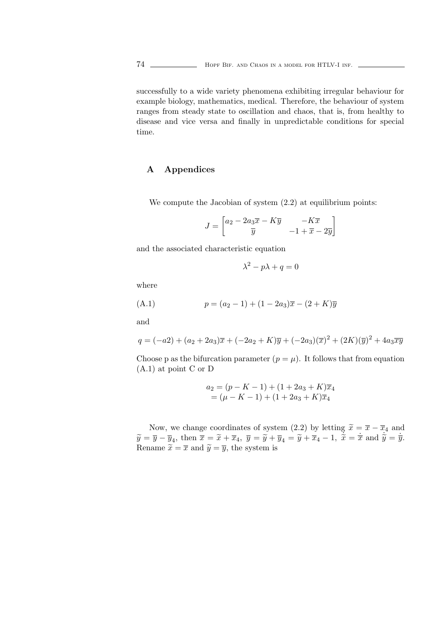successfully to a wide variety phenomena exhibiting irregular behaviour for example biology, mathematics, medical. Therefore, the behaviour of system ranges from steady state to oscillation and chaos, that is, from healthy to disease and vice versa and finally in unpredictable conditions for special time.

# A Appendices

We compute the Jacobian of system  $(2.2)$  at equilibrium points:

$$
J = \begin{bmatrix} a_2 - 2a_3\overline{x} - K\overline{y} & -K\overline{x} \\ \overline{y} & -1 + \overline{x} - 2\overline{y} \end{bmatrix}
$$

and the associated characteristic equation

$$
\lambda^2 - p\lambda + q = 0
$$

where

(A.1) 
$$
p = (a_2 - 1) + (1 - 2a_3)\overline{x} - (2 + K)\overline{y}
$$

and

$$
q = (-a2) + (a_2 + 2a_3)\overline{x} + (-2a_2 + K)\overline{y} + (-2a_3)(\overline{x})^2 + (2K)(\overline{y})^2 + 4a_3\overline{xy}
$$

Choose p as the bifurcation parameter  $(p = \mu)$ . It follows that from equation (A.1) at point C or D

$$
a_2 = (p - K - 1) + (1 + 2a_3 + K)\overline{x}_4
$$
  
=  $(\mu - K - 1) + (1 + 2a_3 + K)\overline{x}_4$ 

Now, we change coordinates of system (2.2) by letting  $\tilde{x} = \bar{x} - \bar{x}_4$  and  $\widetilde{y} = \overline{y} - \overline{y}_4, \text{ then } \overline{\overline{x}} = \widetilde{x} + \overline{x}_4, \ \overline{y} = \widetilde{y} + \overline{y}_4 = \widetilde{y} + \overline{x}_4 - 1, \ \overline{\widetilde{x}} = \overline{x} \text{ and } \widetilde{y} = \overline{y}.$ Rename  $\widetilde{x} = \overline{x}$  and  $\widetilde{y} = \overline{y}$ , the system is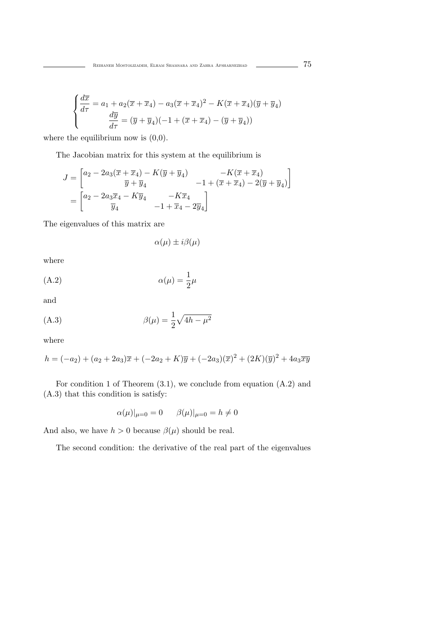$$
\begin{cases}\n\frac{d\overline{x}}{d\tau} = a_1 + a_2(\overline{x} + \overline{x}_4) - a_3(\overline{x} + \overline{x}_4)^2 - K(\overline{x} + \overline{x}_4)(\overline{y} + \overline{y}_4) \\
\frac{d\overline{y}}{d\tau} = (\overline{y} + \overline{y}_4)(-1 + (\overline{x} + \overline{x}_4) - (\overline{y} + \overline{y}_4))\n\end{cases}
$$

where the equilibrium now is  $(0,0)$ .

The Jacobian matrix for this system at the equilibrium is

$$
J = \begin{bmatrix} a_2 - 2a_3(\overline{x} + \overline{x}_4) - K(\overline{y} + \overline{y}_4) & -K(\overline{x} + \overline{x}_4) \\ \overline{y} + \overline{y}_4 & -1 + (\overline{x} + \overline{x}_4) - 2(\overline{y} + \overline{y}_4) \end{bmatrix}
$$
  
= 
$$
\begin{bmatrix} a_2 - 2a_3\overline{x}_4 - K\overline{y}_4 & -K\overline{x}_4 \\ \overline{y}_4 & -1 + \overline{x}_4 - 2\overline{y}_4 \end{bmatrix}
$$

The eigenvalues of this matrix are

 $\alpha(\mu) \pm i\beta(\mu)$ 

where

(A.2) 
$$
\alpha(\mu) = \frac{1}{2}\mu
$$

and

(A.3) 
$$
\beta(\mu) = \frac{1}{2}\sqrt{4h - \mu^2}
$$

where

$$
h = (-a_2) + (a_2 + 2a_3)\overline{x} + (-2a_2 + K)\overline{y} + (-2a_3)(\overline{x})^2 + (2K)(\overline{y})^2 + 4a_3\overline{xy}
$$

For condition 1 of Theorem (3.1), we conclude from equation (A.2) and (A.3) that this condition is satisfy:

$$
\alpha(\mu)|_{\mu=0} = 0
$$
  $\beta(\mu)|_{\mu=0} = h \neq 0$ 

And also, we have  $h > 0$  because  $\beta(\mu)$  should be real.

The second condition: the derivative of the real part of the eigenvalues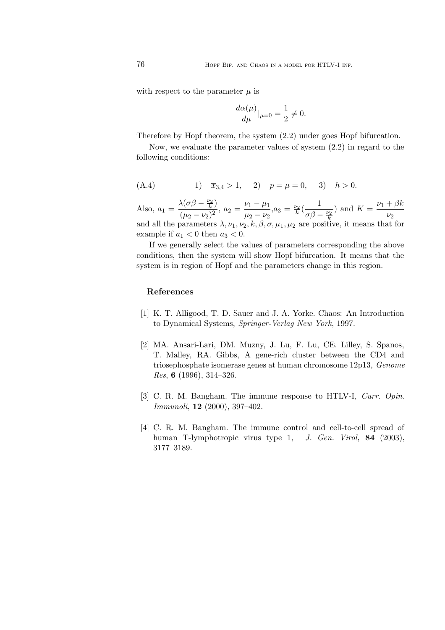with respect to the parameter  $\mu$  is

$$
\frac{d\alpha(\mu)}{d\mu}|_{\mu=0} = \frac{1}{2} \neq 0.
$$

Therefore by Hopf theorem, the system (2.2) under goes Hopf bifurcation.

Now, we evaluate the parameter values of system (2.2) in regard to the following conditions:

(A.4) 1) 
$$
\overline{x}_{3,4} > 1
$$
, 2)  $p = \mu = 0$ , 3)  $h > 0$ .

Also,  $a_1 = \frac{\lambda(\sigma\beta - \frac{\nu_2}{k})}{(\mu_2 - \nu_2)^2}$ ,  $a_2 = \frac{\nu_1 - \mu_1}{\mu_2 - \nu_2}$  $a_3 = \frac{\nu_2}{k} \left( \frac{1}{\sigma \beta - \frac{\nu_2}{k}} \right)$ ) and  $K = \frac{\nu_1 + \beta k_1}{\sigma}$  $\nu_2$ and all the parameters  $\lambda, \nu_1, \nu_2, k, \beta, \sigma, \mu_1, \mu_2$  are positive, it means that for example if  $a_1 < 0$  then  $a_3 < 0$ .

If we generally select the values of parameters corresponding the above conditions, then the system will show Hopf bifurcation. It means that the system is in region of Hopf and the parameters change in this region.

#### References

- [1] K. T. Alligood, T. D. Sauer and J. A. Yorke. Chaos: An Introduction to Dynamical Systems, Springer-Verlag New York, 1997.
- [2] MA. Ansari-Lari, DM. Muzny, J. Lu, F. Lu, CE. Lilley, S. Spanos, T. Malley, RA. Gibbs, A gene-rich cluster between the CD4 and triosephosphate isomerase genes at human chromosome 12p13, Genome Res, 6 (1996), 314–326.
- [3] C. R. M. Bangham. The immune response to HTLV-I, Curr. Opin. Immunoli, 12 (2000), 397–402.
- [4] C. R. M. Bangham. The immune control and cell-to-cell spread of human T-lymphotropic virus type 1, J. Gen. Virol, 84 (2003), 3177–3189.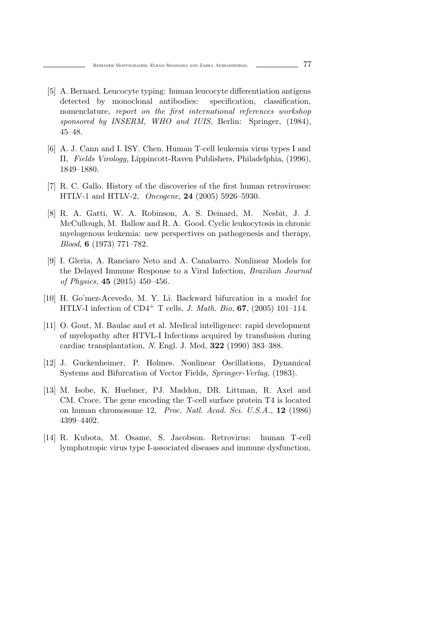- [5] A. Bernard. Leucocyte typing: human leucocyte differentiation antigens detected by monoclonal antibodies: specification, classification, nomenclature, report on the first international references workshop sponsored by INSERM, WHO and IUIS, Berlin: Springer, (1984), 45–48.
- [6] A. J. Cann and I. ISY. Chen. Human T-cell leukemia virus types I and II, Fields Virology, Lippincott-Raven Publishers, Philadelphia, (1996), 1849–1880.
- [7] R. C. Gallo. History of the discoveries of the first human retroviruses: HTLV-1 and HTLV-2, Oncogene, 24 (2005) 5926–5930.
- [8] R. A. Gatti, W. A. Robinson, A. S. Deinard, M. Nesbit, J. J. McCullough, M. Ballow and R. A. Good. Cyclic leukocytosis in chronic myelogenous leukemia: new perspectives on pathogenesis and therapy, Blood, 6 (1973) 771–782.
- [9] I. Gleria, A. Ranciaro Neto and A. Canabarro. Nonlinear Models for the Delayed Immune Response to a Viral Infection, Brazilian Journal of Physics, 45 (2015) 450–456.
- [10] H. Go'mez-Acevedo, M. Y. Li. Backward bifurcation in a model for HTLV-I infection of  $CD4^+$  T cells, *J. Math. Bio*, **67**, (2005) 101–114.
- [11] O. Gout, M. Baulac and et al. Medical intelligence: rapid development of myelopathy after HTVL-I Infections acquired by transfusion during cardiac transplantation, N. Engl. J. Med, 322 (1990) 383–388.
- [12] J. Guckenheimer, P. Holmes. Nonlinear Oscillations, Dynamical Systems and Bifurcation of Vector Fields, Springer-Verlag, (1983).
- [13] M. Isobe, K. Huebner, PJ. Maddon, DR. Littman, R. Axel and CM. Croce. The gene encoding the T-cell surface protein T4 is located on human chromosome 12, Proc. Natl. Acad. Sci. U.S.A., 12 (1986) 4399–4402.
- [14] R. Kubota, M. Osame, S. Jacobson. Retrovirus: human T-cell lymphotropic virus type I-associated diseases and immune dysfunction,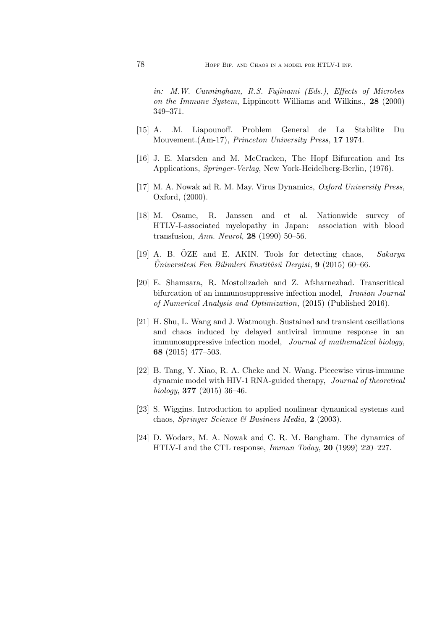in: M.W. Cunningham, R.S. Fujinami (Eds.), Effects of Microbes on the Immune System, Lippincott Williams and Wilkins., 28 (2000) 349–371.

- [15] A. .M. Liapounoff. Problem General de La Stabilite Du Mouvement.(Am-17), Princeton University Press, 17 1974.
- [16] J. E. Marsden and M. McCracken, The Hopf Bifurcation and Its Applications, Springer-Verlag, New York-Heidelberg-Berlin, (1976).
- [17] M. A. Nowak ad R. M. May. Virus Dynamics, Oxford University Press, Oxford, (2000).
- [18] M. Osame, R. Janssen and et al. Nationwide survey of HTLV-I-associated myelopathy in Japan: association with blood transfusion, Ann. Neurol, 28 (1990) 50–56.
- [19] A. B. ÖZE and E. AKIN. Tools for detecting chaos, Sakarya Universitesi Fen Bilimleri Enstitüsü Dergisi,  $9$  (2015) 60–66.
- [20] E. Shamsara, R. Mostolizadeh and Z. Afsharnezhad. Transcritical bifurcation of an immunosuppressive infection model, Iranian Journal of Numerical Analysis and Optimization, (2015) (Published 2016).
- [21] H. Shu, L. Wang and J. Watmough. Sustained and transient oscillations and chaos induced by delayed antiviral immune response in an immunosuppressive infection model, Journal of mathematical biology, 68 (2015) 477–503.
- [22] B. Tang, Y. Xiao, R. A. Cheke and N. Wang. Piecewise virus-immune dynamic model with HIV-1 RNA-guided therapy, Journal of theoretical biology,  $377$  (2015) 36-46.
- [23] S. Wiggins. Introduction to applied nonlinear dynamical systems and chaos, Springer Science & Business Media, 2 (2003).
- [24] D. Wodarz, M. A. Nowak and C. R. M. Bangham. The dynamics of HTLV-I and the CTL response, Immun Today, 20 (1999) 220–227.